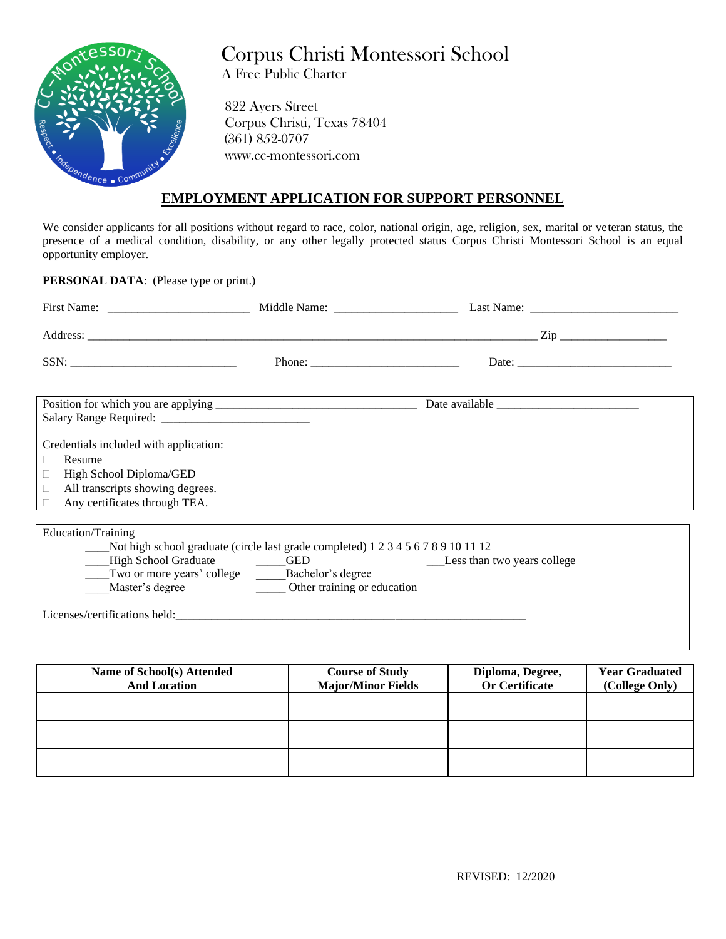

# Corpus Christi Montessori School A Free Public Charter

 822 Ayers Street Corpus Christi, Texas 78404 (361) 852-0707 www.cc-montessori.com

### **EMPLOYMENT APPLICATION FOR SUPPORT PERSONNEL**

We consider applicants for all positions without regard to race, color, national origin, age, religion, sex, marital or veteran status, the presence of a medical condition, disability, or any other legally protected status Corpus Christi Montessori School is an equal opportunity employer.

**PERSONAL DATA**: (Please type or print.)

| Credentials included with application:                   |                                                                                       |                             |
|----------------------------------------------------------|---------------------------------------------------------------------------------------|-----------------------------|
| Resume                                                   |                                                                                       |                             |
| High School Diploma/GED                                  |                                                                                       |                             |
| All transcripts showing degrees.<br>$\Box$               |                                                                                       |                             |
| Any certificates through TEA.                            |                                                                                       |                             |
|                                                          |                                                                                       |                             |
| Education/Training                                       |                                                                                       |                             |
|                                                          | ____Not high school graduate (circle last grade completed) 1 2 3 4 5 6 7 8 9 10 11 12 |                             |
| - High School Graduate                                   |                                                                                       | Less than two years college |
| ____Two or more years' college ________Bachelor's degree |                                                                                       |                             |
|                                                          | Master's degree <b>the contract of the Contract Other training</b> or education       |                             |
|                                                          |                                                                                       |                             |

| Name of School(s) Attended<br><b>And Location</b> | <b>Course of Study</b><br><b>Major/Minor Fields</b> | Diploma, Degree,<br><b>Or Certificate</b> | <b>Year Graduated</b><br>(College Only) |
|---------------------------------------------------|-----------------------------------------------------|-------------------------------------------|-----------------------------------------|
|                                                   |                                                     |                                           |                                         |
|                                                   |                                                     |                                           |                                         |
|                                                   |                                                     |                                           |                                         |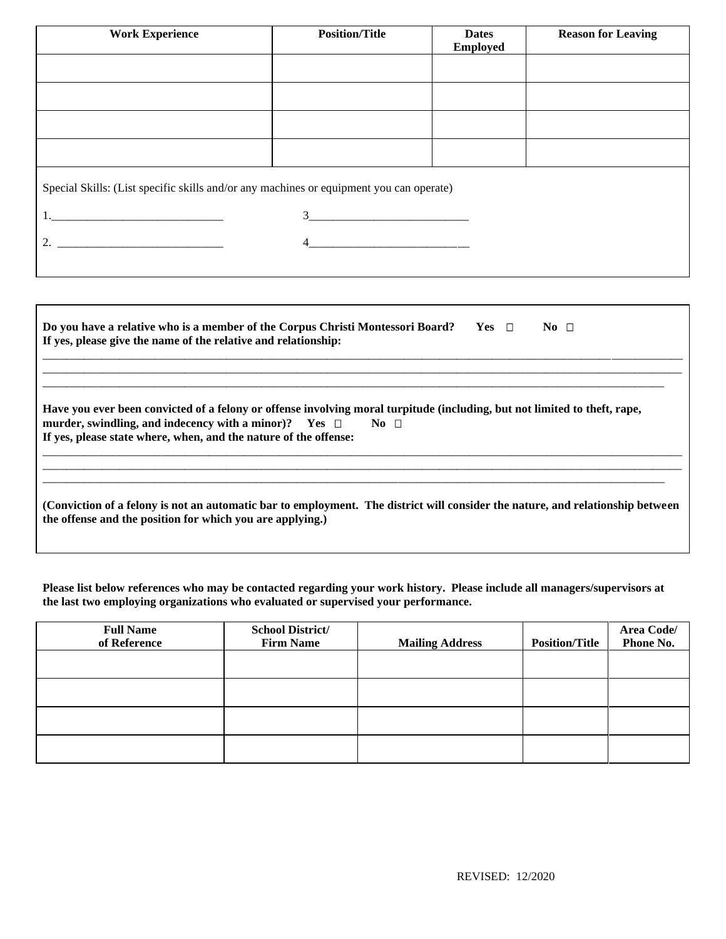| <b>Work Experience</b>                                                                                                                                                                                                                                                                                                 | <b>Position/Title</b>      | <b>Dates</b><br><b>Employed</b> | <b>Reason for Leaving</b> |
|------------------------------------------------------------------------------------------------------------------------------------------------------------------------------------------------------------------------------------------------------------------------------------------------------------------------|----------------------------|---------------------------------|---------------------------|
|                                                                                                                                                                                                                                                                                                                        |                            |                                 |                           |
|                                                                                                                                                                                                                                                                                                                        |                            |                                 |                           |
|                                                                                                                                                                                                                                                                                                                        |                            |                                 |                           |
|                                                                                                                                                                                                                                                                                                                        |                            |                                 |                           |
| Special Skills: (List specific skills and/or any machines or equipment you can operate)                                                                                                                                                                                                                                |                            |                                 |                           |
|                                                                                                                                                                                                                                                                                                                        | $3 \overline{\phantom{a}}$ |                                 |                           |
| 2. $\frac{1}{2}$ $\frac{1}{2}$ $\frac{1}{2}$ $\frac{1}{2}$ $\frac{1}{2}$ $\frac{1}{2}$ $\frac{1}{2}$ $\frac{1}{2}$ $\frac{1}{2}$ $\frac{1}{2}$ $\frac{1}{2}$ $\frac{1}{2}$ $\frac{1}{2}$ $\frac{1}{2}$ $\frac{1}{2}$ $\frac{1}{2}$ $\frac{1}{2}$ $\frac{1}{2}$ $\frac{1}{2}$ $\frac{1}{2}$ $\frac{1}{2}$ $\frac{1}{2}$ | 4                          |                                 |                           |
|                                                                                                                                                                                                                                                                                                                        |                            |                                 |                           |

| Do you have a relative who is a member of the Corpus Christi Montessori Board?<br>If yes, please give the name of the relative and relationship:                                                                                                                                | $Yes \top$ | No $\Box$ |  |
|---------------------------------------------------------------------------------------------------------------------------------------------------------------------------------------------------------------------------------------------------------------------------------|------------|-----------|--|
| Have you ever been convicted of a felony or offense involving moral turpitude (including, but not limited to theft, rape,<br>murder, swindling, and indecency with a minor)? Yes $\Box$<br>$\bf{No}$ $\Box$<br>If yes, please state where, when, and the nature of the offense: |            |           |  |
| (Conviction of a felony is not an automatic bar to employment. The district will consider the nature, and relationship between<br>the offense and the position for which you are applying.)                                                                                     |            |           |  |

**Please list below references who may be contacted regarding your work history. Please include all managers/supervisors at the last two employing organizations who evaluated or supervised your performance.**

| <b>Full Name</b><br>of Reference | <b>School District/</b><br><b>Firm Name</b> | <b>Mailing Address</b> | <b>Position/Title</b> | Area Code/<br>Phone No. |
|----------------------------------|---------------------------------------------|------------------------|-----------------------|-------------------------|
|                                  |                                             |                        |                       |                         |
|                                  |                                             |                        |                       |                         |
|                                  |                                             |                        |                       |                         |
|                                  |                                             |                        |                       |                         |